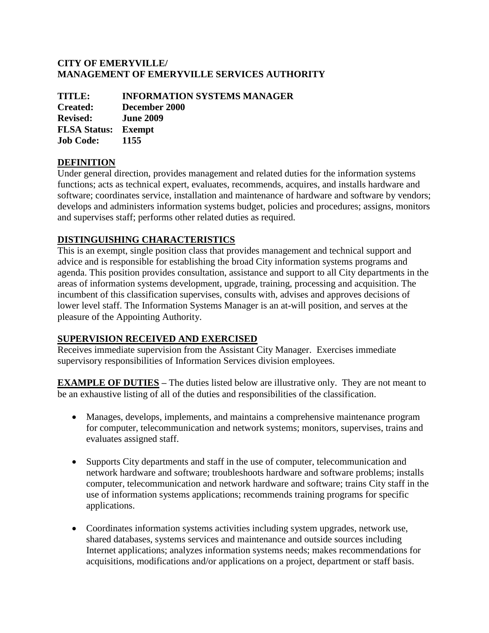### **CITY OF EMERYVILLE/ MANAGEMENT OF EMERYVILLE SERVICES AUTHORITY**

| <b>INFORMATION SYSTEMS MANAGER</b> |
|------------------------------------|
| December 2000                      |
| <b>June 2009</b>                   |
| <b>FLSA Status: Exempt</b>         |
| 1155                               |
|                                    |

# **DEFINITION**

Under general direction, provides management and related duties for the information systems functions; acts as technical expert, evaluates, recommends, acquires, and installs hardware and software; coordinates service, installation and maintenance of hardware and software by vendors; develops and administers information systems budget, policies and procedures; assigns, monitors and supervises staff; performs other related duties as required.

# **DISTINGUISHING CHARACTERISTICS**

This is an exempt, single position class that provides management and technical support and advice and is responsible for establishing the broad City information systems programs and agenda. This position provides consultation, assistance and support to all City departments in the areas of information systems development, upgrade, training, processing and acquisition. The incumbent of this classification supervises, consults with, advises and approves decisions of lower level staff. The Information Systems Manager is an at-will position, and serves at the pleasure of the Appointing Authority.

## **SUPERVISION RECEIVED AND EXERCISED**

Receives immediate supervision from the Assistant City Manager. Exercises immediate supervisory responsibilities of Information Services division employees.

**EXAMPLE OF DUTIES** – The duties listed below are illustrative only. They are not meant to be an exhaustive listing of all of the duties and responsibilities of the classification.

- Manages, develops, implements, and maintains a comprehensive maintenance program for computer, telecommunication and network systems; monitors, supervises, trains and evaluates assigned staff.
- Supports City departments and staff in the use of computer, telecommunication and network hardware and software; troubleshoots hardware and software problems; installs computer, telecommunication and network hardware and software; trains City staff in the use of information systems applications; recommends training programs for specific applications.
- Coordinates information systems activities including system upgrades, network use, shared databases, systems services and maintenance and outside sources including Internet applications; analyzes information systems needs; makes recommendations for acquisitions, modifications and/or applications on a project, department or staff basis.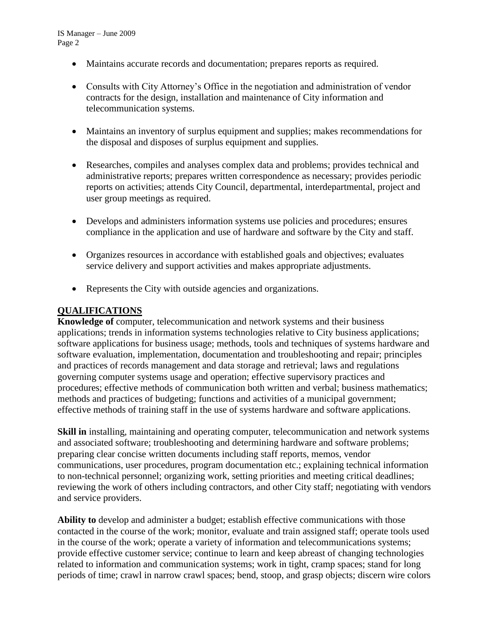- Maintains accurate records and documentation; prepares reports as required.
- Consults with City Attorney's Office in the negotiation and administration of vendor contracts for the design, installation and maintenance of City information and telecommunication systems.
- Maintains an inventory of surplus equipment and supplies; makes recommendations for the disposal and disposes of surplus equipment and supplies.
- Researches, compiles and analyses complex data and problems; provides technical and administrative reports; prepares written correspondence as necessary; provides periodic reports on activities; attends City Council, departmental, interdepartmental, project and user group meetings as required.
- Develops and administers information systems use policies and procedures; ensures compliance in the application and use of hardware and software by the City and staff.
- Organizes resources in accordance with established goals and objectives; evaluates service delivery and support activities and makes appropriate adjustments.
- Represents the City with outside agencies and organizations.

### **QUALIFICATIONS**

**Knowledge of** computer, telecommunication and network systems and their business applications; trends in information systems technologies relative to City business applications; software applications for business usage; methods, tools and techniques of systems hardware and software evaluation, implementation, documentation and troubleshooting and repair; principles and practices of records management and data storage and retrieval; laws and regulations governing computer systems usage and operation; effective supervisory practices and procedures; effective methods of communication both written and verbal; business mathematics; methods and practices of budgeting; functions and activities of a municipal government; effective methods of training staff in the use of systems hardware and software applications.

**Skill in** installing, maintaining and operating computer, telecommunication and network systems and associated software; troubleshooting and determining hardware and software problems; preparing clear concise written documents including staff reports, memos, vendor communications, user procedures, program documentation etc.; explaining technical information to non-technical personnel; organizing work, setting priorities and meeting critical deadlines; reviewing the work of others including contractors, and other City staff; negotiating with vendors and service providers.

**Ability to** develop and administer a budget; establish effective communications with those contacted in the course of the work; monitor, evaluate and train assigned staff; operate tools used in the course of the work; operate a variety of information and telecommunications systems; provide effective customer service; continue to learn and keep abreast of changing technologies related to information and communication systems; work in tight, cramp spaces; stand for long periods of time; crawl in narrow crawl spaces; bend, stoop, and grasp objects; discern wire colors